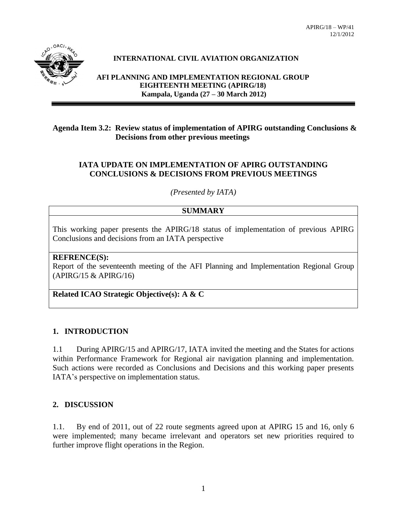

# **INTERNATIONAL CIVIL AVIATION ORGANIZATION**

**AFI PLANNING AND IMPLEMENTATION REGIONAL GROUP EIGHTEENTH MEETING (APIRG/18) Kampala, Uganda (27 – 30 March 2012)**

## **Agenda Item 3.2: Review status of implementation of APIRG outstanding Conclusions & Decisions from other previous meetings**

## **IATA UPDATE ON IMPLEMENTATION OF APIRG OUTSTANDING CONCLUSIONS & DECISIONS FROM PREVIOUS MEETINGS**

*(Presented by IATA)*

#### **SUMMARY**

This working paper presents the APIRG/18 status of implementation of previous APIRG Conclusions and decisions from an IATA perspective

## **REFRENCE(S):**

Report of the seventeenth meeting of the AFI Planning and Implementation Regional Group (APIRG/15 & APIRG/16)

**Related ICAO Strategic Objective(s): A & C**

#### **1. INTRODUCTION**

1.1 During APIRG/15 and APIRG/17, IATA invited the meeting and the States for actions within Performance Framework for Regional air navigation planning and implementation. Such actions were recorded as Conclusions and Decisions and this working paper presents IATA's perspective on implementation status.

#### **2. DISCUSSION**

1.1. By end of 2011, out of 22 route segments agreed upon at APIRG 15 and 16, only 6 were implemented; many became irrelevant and operators set new priorities required to further improve flight operations in the Region.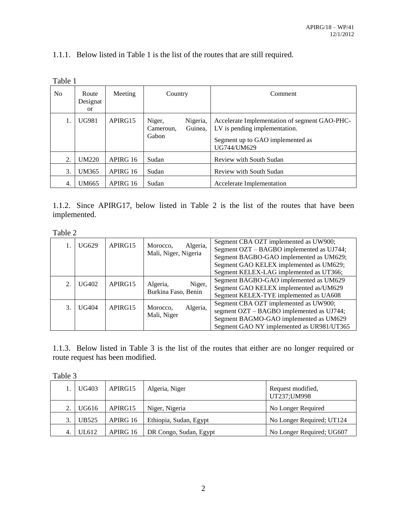# 1.1.1. Below listed in Table 1 is the list of the routes that are still required.

| N <sub>0</sub> | Route<br>Designat<br><sub>or</sub> | Meeting  | Country                                             | Comment                                                                                                                           |
|----------------|------------------------------------|----------|-----------------------------------------------------|-----------------------------------------------------------------------------------------------------------------------------------|
|                | <b>UG981</b>                       | APIRG15  | Niger,<br>Nigeria,<br>Guinea.<br>Cameroun.<br>Gabon | Accelerate Implementation of segment GAO-PHC-<br>LV is pending implementation.<br>Segment up to GAO implemented as<br>UG744/UM629 |
| 2.             | UM220                              | APIRG 16 | Sudan                                               | Review with South Sudan                                                                                                           |
| 3.             | UM365                              | APIRG 16 | Sudan                                               | Review with South Sudan                                                                                                           |
| 4.             | <b>UM665</b>                       | APIRG 16 | Sudan                                               | Accelerate Implementation                                                                                                         |

Table 1

1.1.2. Since APIRG17, below listed in Table 2 is the list of the routes that have been implemented.

Table 2

|                | UG629 | APIRG15 | Algeria,<br>Morocco,<br>Mali, Niger, Nigeria | Segment CBA OZT implemented as UW900;<br>Segment OZT - BAGBO implemented as UJ744;<br>Segment BAGBO-GAO implemented as UM629; |
|----------------|-------|---------|----------------------------------------------|-------------------------------------------------------------------------------------------------------------------------------|
|                |       |         |                                              | Segment GAO KELEX implemented as UM629;<br>Segment KELEX-LAG implemented as UT366;                                            |
|                |       |         |                                              | Segment BAGBO-GAO implemented as UM629                                                                                        |
| $\mathfrak{D}$ | UG402 | APIRG15 | Niger,<br>Algeria,<br>Burkina Faso, Benin    | Segment GAO KELEX implemented as/UM629                                                                                        |
|                |       |         |                                              | Segment KELEX-TYE implemented as UA608                                                                                        |
| 3.             | UG404 | APIRG15 | Algeria,<br>Morocco,                         | Segment CBA OZT implemented as UW900;                                                                                         |
|                |       |         | Mali, Niger                                  | segment OZT – BAGBO implemented as UJ744;                                                                                     |
|                |       |         |                                              | Segment BAGMO-GAO implemented as UM629                                                                                        |
|                |       |         |                                              | Segment GAO NY implemented as UR981/UT365                                                                                     |

1.1.3. Below listed in Table 3 is the list of the routes that either are no longer required or route request has been modified.

| ٬r<br>⌒ |  |
|---------|--|
|         |  |

|    | <b>UG403</b> | APIRG15  | Algeria, Niger         | Request modified,<br>UT237; UM998 |
|----|--------------|----------|------------------------|-----------------------------------|
|    | UG616        | APIRG15  | Niger, Nigeria         | No Longer Required                |
| 3. | <b>UB525</b> | APIRG 16 | Ethiopia, Sudan, Egypt | No Longer Required; UT124         |
| 4. | UL612        | APIRG 16 | DR Congo, Sudan, Egypt | No Longer Required; UG607         |